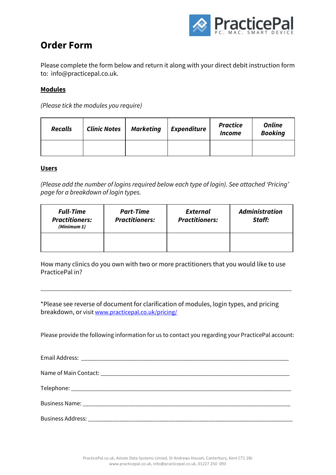

## **Order Form**

Please complete the form below and return it along with your direct debit instruction form to: info@practicepal.co.uk.

#### **Modules**

*(Please tick the modules you require)*

| <b>Recalls</b> | <b>Clinic Notes</b> | <b>Marketing</b> | <b>Expenditure</b> | <b>Practice</b><br>Income | <b>Online</b><br><b>Booking</b> |
|----------------|---------------------|------------------|--------------------|---------------------------|---------------------------------|
|                |                     |                  |                    |                           |                                 |

#### **Users**

*(Please add the number of logins required below each type of login). See attached 'Pricing' page for a breakdown of login types.*

| <b>Full-Time</b><br><b>Practitioners:</b><br>(Minimum 1) | <b>Part-Time</b><br><b>Practitioners:</b> | <b>External</b><br><b>Practitioners:</b> | <b>Administration</b><br>Staff: |
|----------------------------------------------------------|-------------------------------------------|------------------------------------------|---------------------------------|
|                                                          |                                           |                                          |                                 |

How many clinics do you own with two or more practitioners that you would like to use PracticePal in?

\_\_\_\_\_\_\_\_\_\_\_\_\_\_\_\_\_\_\_\_\_\_\_\_\_\_\_\_\_\_\_\_\_\_\_\_\_\_\_\_\_\_\_\_\_\_\_\_\_\_\_\_\_\_\_\_\_\_\_\_\_\_\_\_\_\_\_\_\_\_\_\_\_\_\_\_\_\_\_\_\_

\*Please see reverse of document for clarification of modules, login types, and pricing breakdown, or visit [www.practicepal.co.uk/pricing/](http://www.practicepal.co.uk/)

Please provide the following information for us to contact you regarding your PracticePal account: